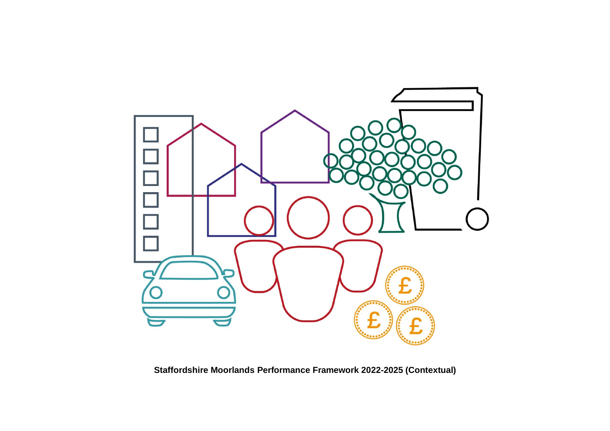

**Staffordshire Moorlands Performance Framework 2022-2025 (Contextual)**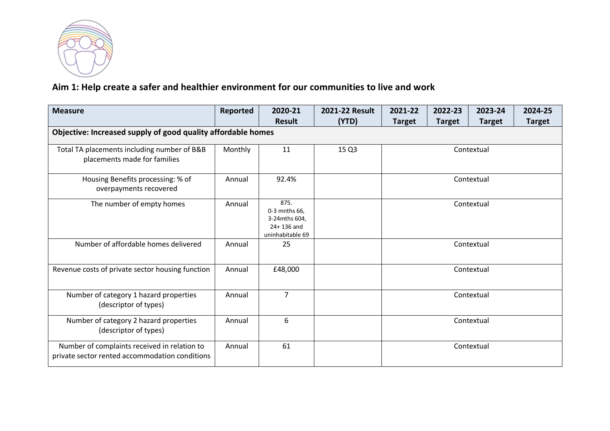

### **Aim 1: Help create a safer and healthier environment for our communities to live and work**

| <b>Measure</b>                                                                                 | Reported | 2020-21                                                                      | 2021-22 Result | 2021-22                                                          | 2022-23 | 2023-24    | 2024-25 |  |
|------------------------------------------------------------------------------------------------|----------|------------------------------------------------------------------------------|----------------|------------------------------------------------------------------|---------|------------|---------|--|
|                                                                                                |          | <b>Result</b>                                                                | (YTD)          | <b>Target</b><br><b>Target</b><br><b>Target</b><br><b>Target</b> |         |            |         |  |
| Objective: Increased supply of good quality affordable homes                                   |          |                                                                              |                |                                                                  |         |            |         |  |
| Total TA placements including number of B&B<br>placements made for families                    | Monthly  | 11                                                                           | 15 Q3          | Contextual                                                       |         |            |         |  |
| Housing Benefits processing: % of<br>overpayments recovered                                    | Annual   | 92.4%                                                                        |                | Contextual                                                       |         |            |         |  |
| The number of empty homes                                                                      | Annual   | 875.<br>0-3 mnths 66.<br>3-24mths 604.<br>$24 + 136$ and<br>uninhabitable 69 |                | Contextual                                                       |         |            |         |  |
| Number of affordable homes delivered                                                           | Annual   | 25                                                                           |                |                                                                  |         | Contextual |         |  |
| Revenue costs of private sector housing function                                               | Annual   | £48,000                                                                      |                |                                                                  |         | Contextual |         |  |
| Number of category 1 hazard properties<br>(descriptor of types)                                | Annual   | $\overline{7}$                                                               |                | Contextual                                                       |         |            |         |  |
| Number of category 2 hazard properties<br>(descriptor of types)                                | Annual   | 6                                                                            |                | Contextual                                                       |         |            |         |  |
| Number of complaints received in relation to<br>private sector rented accommodation conditions | Annual   | 61                                                                           |                |                                                                  |         | Contextual |         |  |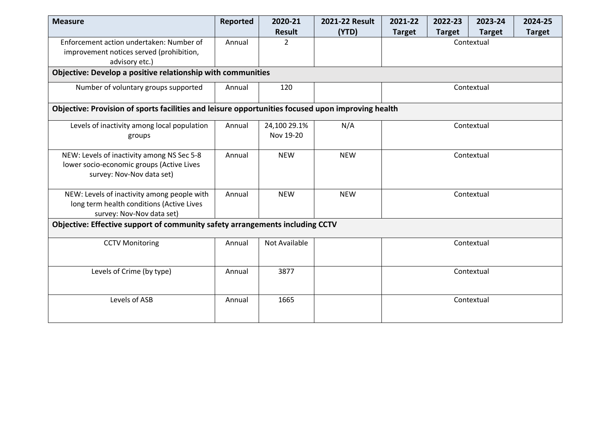| <b>Measure</b>                                                                                                        | Reported | 2020-21                   | 2021-22 Result | 2021-22                                                          | 2022-23 | 2023-24    | 2024-25 |  |  |  |  |
|-----------------------------------------------------------------------------------------------------------------------|----------|---------------------------|----------------|------------------------------------------------------------------|---------|------------|---------|--|--|--|--|
|                                                                                                                       |          | Result                    | (YTD)          | <b>Target</b><br><b>Target</b><br><b>Target</b><br><b>Target</b> |         |            |         |  |  |  |  |
| Enforcement action undertaken: Number of<br>improvement notices served (prohibition,<br>advisory etc.)                | Annual   | $\overline{2}$            |                | Contextual                                                       |         |            |         |  |  |  |  |
| Objective: Develop a positive relationship with communities                                                           |          |                           |                |                                                                  |         |            |         |  |  |  |  |
| Number of voluntary groups supported                                                                                  | Annual   | 120                       |                | Contextual                                                       |         |            |         |  |  |  |  |
| Objective: Provision of sports facilities and leisure opportunities focused upon improving health                     |          |                           |                |                                                                  |         |            |         |  |  |  |  |
| Levels of inactivity among local population<br>groups                                                                 | Annual   | 24,100 29.1%<br>Nov 19-20 | N/A            | Contextual                                                       |         |            |         |  |  |  |  |
| NEW: Levels of inactivity among NS Sec 5-8<br>lower socio-economic groups (Active Lives<br>survey: Nov-Nov data set)  | Annual   | <b>NEW</b>                | <b>NEW</b>     | Contextual                                                       |         |            |         |  |  |  |  |
| NEW: Levels of inactivity among people with<br>long term health conditions (Active Lives<br>survey: Nov-Nov data set) | Annual   | <b>NEW</b>                | <b>NEW</b>     |                                                                  |         | Contextual |         |  |  |  |  |
| Objective: Effective support of community safety arrangements including CCTV                                          |          |                           |                |                                                                  |         |            |         |  |  |  |  |
| <b>CCTV Monitoring</b>                                                                                                | Annual   | Not Available             |                | Contextual                                                       |         |            |         |  |  |  |  |
| Levels of Crime (by type)                                                                                             | Annual   | 3877                      |                | Contextual                                                       |         |            |         |  |  |  |  |
| Levels of ASB                                                                                                         | Annual   | 1665                      |                |                                                                  |         | Contextual |         |  |  |  |  |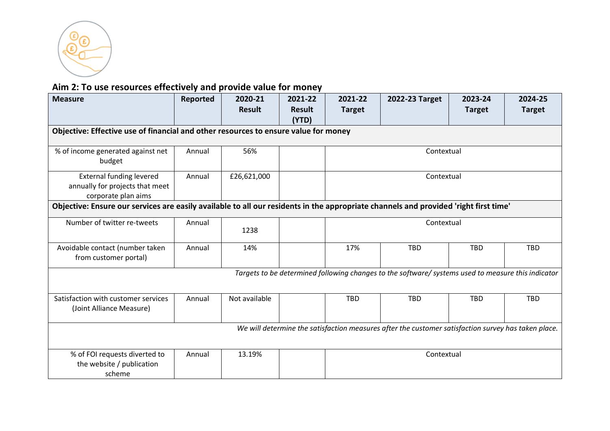

## **Aim 2: To use resources effectively and provide value for money**

| <b>Measure</b>                                                                            | Reported                                                                                            | 2020-21<br><b>Result</b> | 2021-22<br><b>Result</b> | 2021-22<br><b>Target</b>                                                                                                             | 2022-23 Target                                                                                     | 2023-24<br><b>Target</b> | 2024-25<br><b>Target</b> |  |  |  |  |
|-------------------------------------------------------------------------------------------|-----------------------------------------------------------------------------------------------------|--------------------------|--------------------------|--------------------------------------------------------------------------------------------------------------------------------------|----------------------------------------------------------------------------------------------------|--------------------------|--------------------------|--|--|--|--|
| Objective: Effective use of financial and other resources to ensure value for money       |                                                                                                     |                          | (YTD)                    |                                                                                                                                      |                                                                                                    |                          |                          |  |  |  |  |
| % of income generated against net<br>budget                                               | Annual                                                                                              | 56%                      |                          | Contextual                                                                                                                           |                                                                                                    |                          |                          |  |  |  |  |
| <b>External funding levered</b><br>annually for projects that meet<br>corporate plan aims | Annual                                                                                              | £26,621,000              |                          | Contextual                                                                                                                           |                                                                                                    |                          |                          |  |  |  |  |
|                                                                                           |                                                                                                     |                          |                          | Objective: Ensure our services are easily available to all our residents in the appropriate channels and provided 'right first time' |                                                                                                    |                          |                          |  |  |  |  |
| Number of twitter re-tweets                                                               | Annual                                                                                              | 1238                     |                          |                                                                                                                                      | Contextual                                                                                         |                          |                          |  |  |  |  |
| Avoidable contact (number taken<br>from customer portal)                                  | Annual                                                                                              | 14%                      |                          | 17%                                                                                                                                  | <b>TBD</b>                                                                                         | <b>TBD</b>               | <b>TBD</b>               |  |  |  |  |
|                                                                                           |                                                                                                     |                          |                          |                                                                                                                                      | Targets to be determined following changes to the software/ systems used to measure this indicator |                          |                          |  |  |  |  |
| Satisfaction with customer services<br>(Joint Alliance Measure)                           | Annual                                                                                              | Not available            |                          | <b>TBD</b>                                                                                                                           | <b>TBD</b>                                                                                         | <b>TBD</b>               | <b>TBD</b>               |  |  |  |  |
|                                                                                           | We will determine the satisfaction measures after the customer satisfaction survey has taken place. |                          |                          |                                                                                                                                      |                                                                                                    |                          |                          |  |  |  |  |
| % of FOI requests diverted to<br>the website / publication<br>scheme                      | Annual                                                                                              | 13.19%                   |                          |                                                                                                                                      | Contextual                                                                                         |                          |                          |  |  |  |  |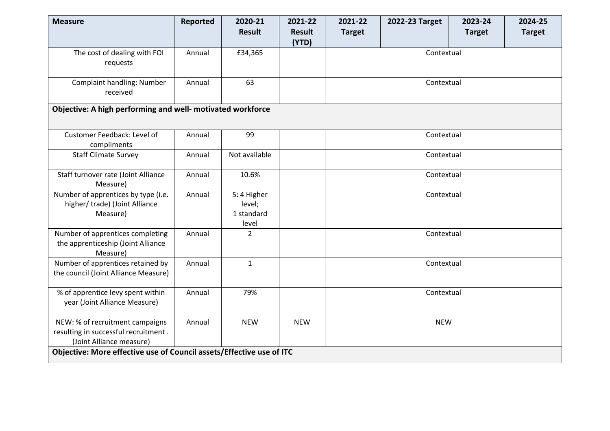| <b>Measure</b>                                                                                      | Reported | 2020-21                                     | 2021-22                | 2021-22       | 2022-23 Target | 2023-24       | 2024-25       |  |  |  |
|-----------------------------------------------------------------------------------------------------|----------|---------------------------------------------|------------------------|---------------|----------------|---------------|---------------|--|--|--|
|                                                                                                     |          | <b>Result</b>                               | <b>Result</b><br>(YTD) | <b>Target</b> |                | <b>Target</b> | <b>Target</b> |  |  |  |
| The cost of dealing with FOI<br>requests                                                            | Annual   | £34,365                                     |                        | Contextual    |                |               |               |  |  |  |
| <b>Complaint handling: Number</b><br>received                                                       | Annual   | 63                                          |                        | Contextual    |                |               |               |  |  |  |
| Objective: A high performing and well- motivated workforce                                          |          |                                             |                        |               |                |               |               |  |  |  |
| Customer Feedback: Level of<br>compliments                                                          | Annual   | 99                                          |                        | Contextual    |                |               |               |  |  |  |
| <b>Staff Climate Survey</b>                                                                         | Annual   | Not available                               |                        |               | Contextual     |               |               |  |  |  |
| Staff turnover rate (Joint Alliance<br>Measure)                                                     | Annual   | 10.6%                                       |                        | Contextual    |                |               |               |  |  |  |
| Number of apprentices by type (i.e.<br>higher/trade) (Joint Alliance<br>Measure)                    | Annual   | 5:4 Higher<br>level;<br>1 standard<br>level |                        | Contextual    |                |               |               |  |  |  |
| Number of apprentices completing<br>the apprenticeship (Joint Alliance<br>Measure)                  | Annual   | $\overline{2}$                              |                        |               | Contextual     |               |               |  |  |  |
| Number of apprentices retained by<br>the council (Joint Alliance Measure)                           | Annual   | $\mathbf{1}$                                |                        |               | Contextual     |               |               |  |  |  |
| % of apprentice levy spent within<br>year (Joint Alliance Measure)                                  | Annual   | 79%                                         |                        | Contextual    |                |               |               |  |  |  |
| NEW: % of recruitment campaigns<br>resulting in successful recruitment.<br>(Joint Alliance measure) | Annual   | <b>NEW</b>                                  | <b>NEW</b>             | <b>NEW</b>    |                |               |               |  |  |  |
| Objective: More effective use of Council assets/Effective use of ITC                                |          |                                             |                        |               |                |               |               |  |  |  |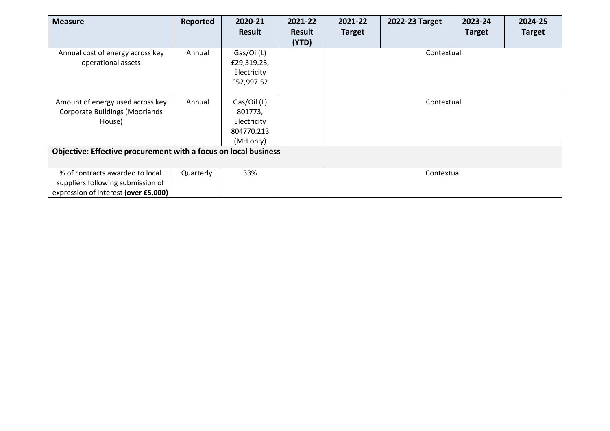| <b>Measure</b>                                                  | Reported  | 2020-21       | 2021-22       | 2021-22       | 2022-23 Target | 2023-24       | 2024-25       |
|-----------------------------------------------------------------|-----------|---------------|---------------|---------------|----------------|---------------|---------------|
|                                                                 |           | <b>Result</b> | <b>Result</b> | <b>Target</b> |                | <b>Target</b> | <b>Target</b> |
|                                                                 |           |               | (YTD)         |               |                |               |               |
| Annual cost of energy across key                                | Annual    | Gas/Oil(L)    |               |               | Contextual     |               |               |
| operational assets                                              |           | £29,319.23,   |               |               |                |               |               |
|                                                                 |           | Electricity   |               |               |                |               |               |
|                                                                 |           | £52,997.52    |               |               |                |               |               |
|                                                                 |           |               |               |               |                |               |               |
| Amount of energy used across key                                | Annual    | Gas/Oil (L)   |               |               | Contextual     |               |               |
| <b>Corporate Buildings (Moorlands</b>                           |           | 801773,       |               |               |                |               |               |
| House)                                                          |           | Electricity   |               |               |                |               |               |
|                                                                 |           | 804770.213    |               |               |                |               |               |
|                                                                 |           | (MH only)     |               |               |                |               |               |
| Objective: Effective procurement with a focus on local business |           |               |               |               |                |               |               |
|                                                                 |           |               |               |               |                |               |               |
| % of contracts awarded to local                                 | Quarterly | 33%           |               |               | Contextual     |               |               |
| suppliers following submission of                               |           |               |               |               |                |               |               |
| expression of interest (over £5,000)                            |           |               |               |               |                |               |               |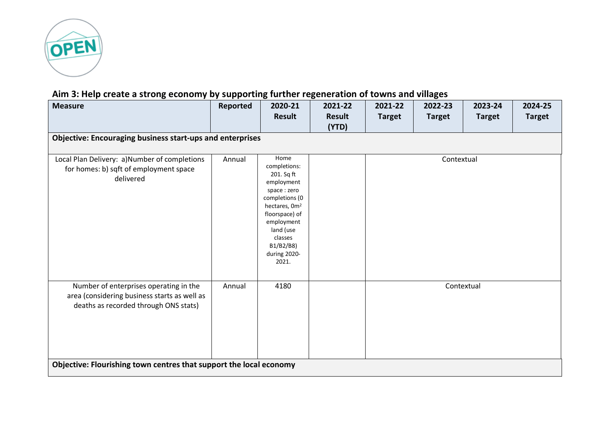

## **Aim 3: Help create a strong economy by supporting further regeneration of towns and villages**

| <b>Measure</b>                                                                                                                                                                                        | Reported | 2020-21<br><b>Result</b>                                                                                                                                                                                     | 2021-22<br><b>Result</b><br>(YTD) | 2021-22<br><b>Target</b> | 2022-23<br><b>Target</b> | 2023-24<br><b>Target</b> | 2024-25<br><b>Target</b> |  |  |  |  |
|-------------------------------------------------------------------------------------------------------------------------------------------------------------------------------------------------------|----------|--------------------------------------------------------------------------------------------------------------------------------------------------------------------------------------------------------------|-----------------------------------|--------------------------|--------------------------|--------------------------|--------------------------|--|--|--|--|
| <b>Objective: Encouraging business start-ups and enterprises</b>                                                                                                                                      |          |                                                                                                                                                                                                              |                                   |                          |                          |                          |                          |  |  |  |  |
| Local Plan Delivery: a)Number of completions<br>for homes: b) sqft of employment space<br>delivered                                                                                                   | Annual   | Home<br>completions:<br>201. Sq ft<br>employment<br>space: zero<br>completions (0<br>hectares, 0m <sup>2</sup><br>floorspace) of<br>employment<br>land (use<br>classes<br>B1/B2/B8)<br>during 2020-<br>2021. |                                   | Contextual               |                          |                          |                          |  |  |  |  |
| Number of enterprises operating in the<br>area (considering business starts as well as<br>deaths as recorded through ONS stats)<br>Objective: Flourishing town centres that support the local economy | Annual   | 4180                                                                                                                                                                                                         |                                   |                          |                          | Contextual               |                          |  |  |  |  |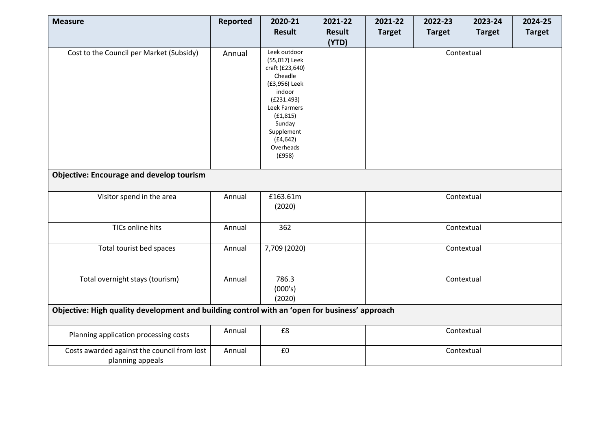| <b>Measure</b>                                                                                | Reported | 2020-21                                                                                                                                                                | 2021-22       | 2021-22       | 2022-23       | 2023-24       | 2024-25       |
|-----------------------------------------------------------------------------------------------|----------|------------------------------------------------------------------------------------------------------------------------------------------------------------------------|---------------|---------------|---------------|---------------|---------------|
|                                                                                               |          | <b>Result</b>                                                                                                                                                          | <b>Result</b> | <b>Target</b> | <b>Target</b> | <b>Target</b> | <b>Target</b> |
| Cost to the Council per Market (Subsidy)                                                      | Annual   | Leek outdoor<br>(55,017) Leek<br>craft (£23,640)<br>Cheadle<br>(£3,956) Leek<br>indoor<br>(E231.493)<br>Leek Farmers<br>(E1, 815)<br>Sunday<br>Supplement<br>(E4, 642) | (YTD)         |               |               | Contextual    |               |
|                                                                                               |          | Overheads<br>(E958)                                                                                                                                                    |               |               |               |               |               |
| <b>Objective: Encourage and develop tourism</b>                                               |          |                                                                                                                                                                        |               |               |               |               |               |
| Visitor spend in the area                                                                     | Annual   | £163.61m<br>(2020)                                                                                                                                                     |               |               |               | Contextual    |               |
| TICs online hits                                                                              | Annual   | 362                                                                                                                                                                    |               |               |               | Contextual    |               |
| Total tourist bed spaces                                                                      | Annual   | 7,709 (2020)                                                                                                                                                           |               |               |               | Contextual    |               |
| Total overnight stays (tourism)                                                               | Annual   | 786.3<br>(000's)<br>(2020)                                                                                                                                             |               |               |               | Contextual    |               |
| Objective: High quality development and building control with an 'open for business' approach |          |                                                                                                                                                                        |               |               |               |               |               |
| Planning application processing costs                                                         | Annual   | £8                                                                                                                                                                     |               |               |               | Contextual    |               |
| Costs awarded against the council from lost<br>planning appeals                               | Annual   | £0                                                                                                                                                                     |               |               |               | Contextual    |               |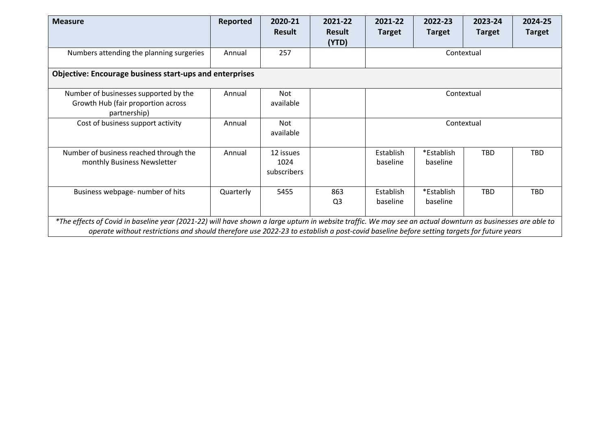| <b>Measure</b>                                                                                                                                                                                                                                                                                          | Reported  | 2020-21<br><b>Result</b>         | 2021-22<br><b>Result</b><br>(YTD) | 2021-22<br><b>Target</b> | 2022-23<br><b>Target</b> | 2023-24<br><b>Target</b> | 2024-25<br><b>Target</b> |  |  |  |
|---------------------------------------------------------------------------------------------------------------------------------------------------------------------------------------------------------------------------------------------------------------------------------------------------------|-----------|----------------------------------|-----------------------------------|--------------------------|--------------------------|--------------------------|--------------------------|--|--|--|
| Numbers attending the planning surgeries                                                                                                                                                                                                                                                                | Annual    | 257                              |                                   | Contextual               |                          |                          |                          |  |  |  |
| <b>Objective: Encourage business start-ups and enterprises</b>                                                                                                                                                                                                                                          |           |                                  |                                   |                          |                          |                          |                          |  |  |  |
| Number of businesses supported by the<br>Growth Hub (fair proportion across<br>partnership)                                                                                                                                                                                                             | Annual    | <b>Not</b><br>available          |                                   | Contextual               |                          |                          |                          |  |  |  |
| Cost of business support activity                                                                                                                                                                                                                                                                       | Annual    | <b>Not</b><br>available          |                                   | Contextual               |                          |                          |                          |  |  |  |
| Number of business reached through the<br>monthly Business Newsletter                                                                                                                                                                                                                                   | Annual    | 12 issues<br>1024<br>subscribers |                                   | Establish<br>baseline    | *Establish<br>baseline   | <b>TBD</b>               | <b>TBD</b>               |  |  |  |
| Business webpage- number of hits                                                                                                                                                                                                                                                                        | Quarterly | 5455                             | 863<br>Q <sub>3</sub>             | Establish<br>baseline    | *Establish<br>baseline   | <b>TBD</b>               | <b>TBD</b>               |  |  |  |
| *The effects of Covid in baseline year (2021-22) will have shown a large upturn in website traffic. We may see an actual downturn as businesses are able to<br>operate without restrictions and should therefore use 2022-23 to establish a post-covid baseline before setting targets for future years |           |                                  |                                   |                          |                          |                          |                          |  |  |  |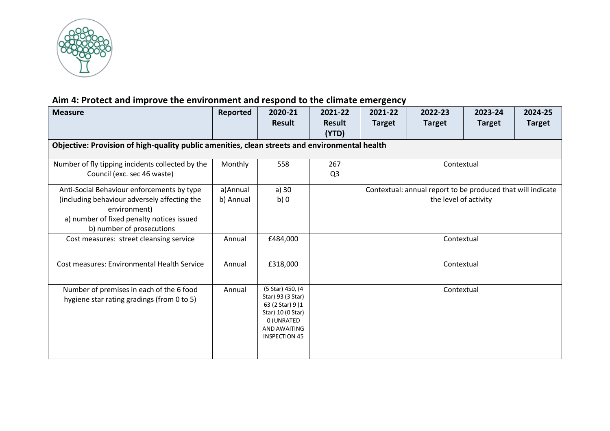

# **Aim 4: Protect and improve the environment and respond to the climate emergency**

| <b>Measure</b>                                                                                                                                                                       | Reported              | 2020-21                                                                                                                              | 2021-22               | 2021-22                                                                              | 2022-23       | 2023-24       | 2024-25       |  |  |  |
|--------------------------------------------------------------------------------------------------------------------------------------------------------------------------------------|-----------------------|--------------------------------------------------------------------------------------------------------------------------------------|-----------------------|--------------------------------------------------------------------------------------|---------------|---------------|---------------|--|--|--|
|                                                                                                                                                                                      |                       | <b>Result</b>                                                                                                                        | <b>Result</b>         | <b>Target</b>                                                                        | <b>Target</b> | <b>Target</b> | <b>Target</b> |  |  |  |
|                                                                                                                                                                                      |                       |                                                                                                                                      | (YTD)                 |                                                                                      |               |               |               |  |  |  |
| Objective: Provision of high-quality public amenities, clean streets and environmental health                                                                                        |                       |                                                                                                                                      |                       |                                                                                      |               |               |               |  |  |  |
| Number of fly tipping incidents collected by the<br>Council (exc. sec 46 waste)                                                                                                      | Monthly               | 558                                                                                                                                  | 267<br>Q <sub>3</sub> | Contextual                                                                           |               |               |               |  |  |  |
| Anti-Social Behaviour enforcements by type<br>(including behaviour adversely affecting the<br>environment)<br>a) number of fixed penalty notices issued<br>b) number of prosecutions | a)Annual<br>b) Annual | a) 30<br>b)0                                                                                                                         |                       | Contextual: annual report to be produced that will indicate<br>the level of activity |               |               |               |  |  |  |
| Cost measures: street cleansing service                                                                                                                                              | Annual                | £484,000                                                                                                                             |                       |                                                                                      | Contextual    |               |               |  |  |  |
| Cost measures: Environmental Health Service                                                                                                                                          | Annual                | £318,000                                                                                                                             |                       |                                                                                      | Contextual    |               |               |  |  |  |
| Number of premises in each of the 6 food<br>hygiene star rating gradings (from 0 to 5)                                                                                               | Annual                | (5 Star) 450, (4<br>Star) 93 (3 Star)<br>63 (2 Star) 9 (1<br>Star) 10 (0 Star)<br>0 (UNRATED<br>AND AWAITING<br><b>INSPECTION 45</b> |                       |                                                                                      | Contextual    |               |               |  |  |  |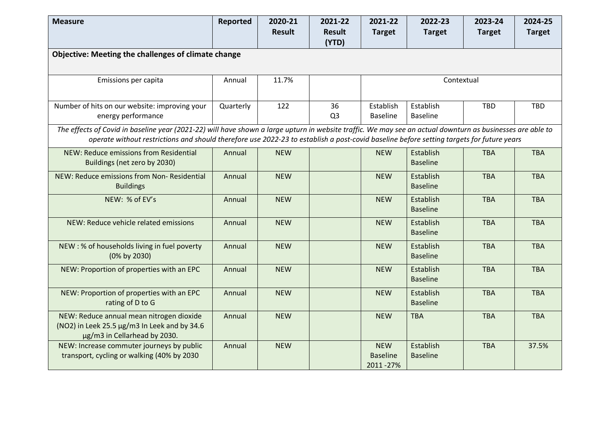| <b>Measure</b>                                                                                                                                             | Reported  | 2020-21       | 2021-22        | 2021-22         | 2022-23         | 2023-24       | 2024-25       |
|------------------------------------------------------------------------------------------------------------------------------------------------------------|-----------|---------------|----------------|-----------------|-----------------|---------------|---------------|
|                                                                                                                                                            |           | <b>Result</b> | <b>Result</b>  | <b>Target</b>   | <b>Target</b>   | <b>Target</b> | <b>Target</b> |
|                                                                                                                                                            |           |               | (YTD)          |                 |                 |               |               |
| Objective: Meeting the challenges of climate change                                                                                                        |           |               |                |                 |                 |               |               |
|                                                                                                                                                            |           |               |                |                 |                 |               |               |
| Emissions per capita                                                                                                                                       | Annual    | 11.7%         |                |                 | Contextual      |               |               |
|                                                                                                                                                            |           |               |                |                 |                 |               |               |
| Number of hits on our website: improving your                                                                                                              | Quarterly | 122           | 36             | Establish       | Establish       | <b>TBD</b>    | <b>TBD</b>    |
| energy performance                                                                                                                                         |           |               | Q <sub>3</sub> | <b>Baseline</b> | <b>Baseline</b> |               |               |
| The effects of Covid in baseline year (2021-22) will have shown a large upturn in website traffic. We may see an actual downturn as businesses are able to |           |               |                |                 |                 |               |               |
| operate without restrictions and should therefore use 2022-23 to establish a post-covid baseline before setting targets for future years                   |           |               |                |                 |                 |               |               |
| NEW: Reduce emissions from Residential                                                                                                                     | Annual    | <b>NEW</b>    |                | <b>NEW</b>      | Establish       | <b>TBA</b>    | <b>TBA</b>    |
| Buildings (net zero by 2030)                                                                                                                               |           |               |                |                 | <b>Baseline</b> |               |               |
| NEW: Reduce emissions from Non-Residential                                                                                                                 | Annual    | <b>NEW</b>    |                | <b>NEW</b>      | Establish       | <b>TBA</b>    | <b>TBA</b>    |
| <b>Buildings</b>                                                                                                                                           |           |               |                |                 | <b>Baseline</b> |               |               |
| NEW: % of EV's                                                                                                                                             | Annual    | <b>NEW</b>    |                | <b>NEW</b>      | Establish       | <b>TBA</b>    | <b>TBA</b>    |
|                                                                                                                                                            |           |               |                |                 | <b>Baseline</b> |               |               |
| NEW: Reduce vehicle related emissions                                                                                                                      | Annual    | <b>NEW</b>    |                | <b>NEW</b>      | Establish       | <b>TBA</b>    | <b>TBA</b>    |
|                                                                                                                                                            |           |               |                |                 | <b>Baseline</b> |               |               |
| NEW: % of households living in fuel poverty                                                                                                                | Annual    | <b>NEW</b>    |                | <b>NEW</b>      | Establish       | <b>TBA</b>    | <b>TBA</b>    |
| (0% by 2030)                                                                                                                                               |           |               |                |                 | <b>Baseline</b> |               |               |
| NEW: Proportion of properties with an EPC                                                                                                                  | Annual    | <b>NEW</b>    |                | <b>NEW</b>      | Establish       | <b>TBA</b>    | <b>TBA</b>    |
|                                                                                                                                                            |           |               |                |                 | <b>Baseline</b> |               |               |
| NEW: Proportion of properties with an EPC                                                                                                                  | Annual    | <b>NEW</b>    |                | <b>NEW</b>      | Establish       | <b>TBA</b>    | <b>TBA</b>    |
| rating of D to G                                                                                                                                           |           |               |                |                 | <b>Baseline</b> |               |               |
| NEW: Reduce annual mean nitrogen dioxide                                                                                                                   | Annual    | <b>NEW</b>    |                | <b>NEW</b>      | <b>TBA</b>      | <b>TBA</b>    | <b>TBA</b>    |
| (NO2) in Leek 25.5 µg/m3 In Leek and by 34.6                                                                                                               |           |               |                |                 |                 |               |               |
| µg/m3 in Cellarhead by 2030.<br>NEW: Increase commuter journeys by public                                                                                  | Annual    | <b>NEW</b>    |                | <b>NEW</b>      | Establish       | <b>TBA</b>    | 37.5%         |
| transport, cycling or walking (40% by 2030                                                                                                                 |           |               |                | <b>Baseline</b> | <b>Baseline</b> |               |               |
|                                                                                                                                                            |           |               |                | 2011-27%        |                 |               |               |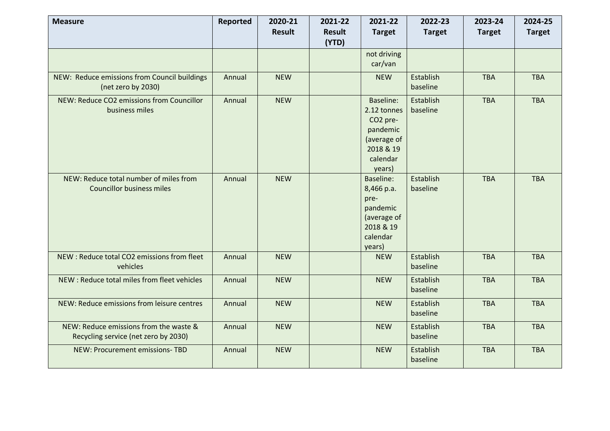| <b>Measure</b>                                                                 | <b>Reported</b> | 2020-21       | 2021-22                | 2021-22                                                                                                        | 2022-23               | 2023-24       | 2024-25       |
|--------------------------------------------------------------------------------|-----------------|---------------|------------------------|----------------------------------------------------------------------------------------------------------------|-----------------------|---------------|---------------|
|                                                                                |                 | <b>Result</b> | <b>Result</b><br>(YTD) | <b>Target</b>                                                                                                  | <b>Target</b>         | <b>Target</b> | <b>Target</b> |
|                                                                                |                 |               |                        | not driving<br>car/van                                                                                         |                       |               |               |
| NEW: Reduce emissions from Council buildings<br>(net zero by 2030)             | Annual          | <b>NEW</b>    |                        | <b>NEW</b>                                                                                                     | Establish<br>baseline | <b>TBA</b>    | <b>TBA</b>    |
| NEW: Reduce CO2 emissions from Councillor<br>business miles                    | Annual          | <b>NEW</b>    |                        | Baseline:<br>2.12 tonnes<br>CO <sub>2</sub> pre-<br>pandemic<br>(average of<br>2018 & 19<br>calendar<br>years) | Establish<br>baseline | <b>TBA</b>    | <b>TBA</b>    |
| NEW: Reduce total number of miles from<br><b>Councillor business miles</b>     | Annual          | <b>NEW</b>    |                        | Baseline:<br>8,466 p.a.<br>pre-<br>pandemic<br>(average of<br>2018 & 19<br>calendar<br>years)                  | Establish<br>baseline | <b>TBA</b>    | <b>TBA</b>    |
| NEW: Reduce total CO2 emissions from fleet<br>vehicles                         | Annual          | <b>NEW</b>    |                        | <b>NEW</b>                                                                                                     | Establish<br>baseline | <b>TBA</b>    | <b>TBA</b>    |
| NEW : Reduce total miles from fleet vehicles                                   | Annual          | <b>NEW</b>    |                        | <b>NEW</b>                                                                                                     | Establish<br>baseline | <b>TBA</b>    | <b>TBA</b>    |
| NEW: Reduce emissions from leisure centres                                     | Annual          | <b>NEW</b>    |                        | <b>NEW</b>                                                                                                     | Establish<br>baseline | <b>TBA</b>    | <b>TBA</b>    |
| NEW: Reduce emissions from the waste &<br>Recycling service (net zero by 2030) | Annual          | <b>NEW</b>    |                        | <b>NEW</b>                                                                                                     | Establish<br>baseline | <b>TBA</b>    | <b>TBA</b>    |
| NEW: Procurement emissions-TBD                                                 | Annual          | <b>NEW</b>    |                        | <b>NEW</b>                                                                                                     | Establish<br>baseline | <b>TBA</b>    | <b>TBA</b>    |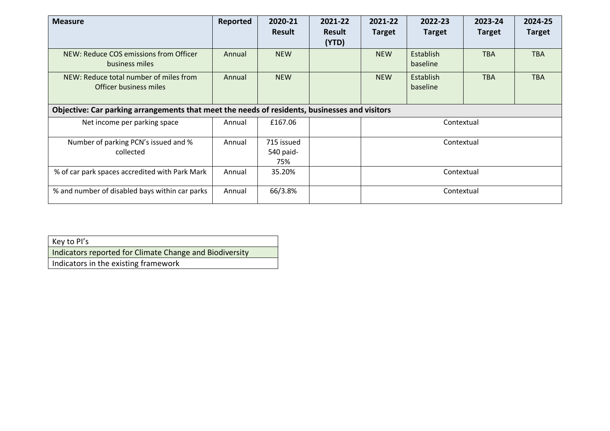| <b>Measure</b>                                                                                | Reported | 2020-21                        | 2021-22                | 2021-22       | 2022-23               | 2023-24       | 2024-25       |  |
|-----------------------------------------------------------------------------------------------|----------|--------------------------------|------------------------|---------------|-----------------------|---------------|---------------|--|
|                                                                                               |          | <b>Result</b>                  | <b>Result</b><br>(YTD) | <b>Target</b> | <b>Target</b>         | <b>Target</b> | <b>Target</b> |  |
| NEW: Reduce COS emissions from Officer<br>business miles                                      | Annual   | <b>NEW</b>                     |                        | <b>NEW</b>    | Establish<br>baseline | <b>TBA</b>    | <b>TBA</b>    |  |
| NEW: Reduce total number of miles from<br>Officer business miles                              | Annual   | <b>NEW</b>                     |                        | <b>NEW</b>    | Establish<br>baseline | <b>TBA</b>    | <b>TBA</b>    |  |
| Objective: Car parking arrangements that meet the needs of residents, businesses and visitors |          |                                |                        |               |                       |               |               |  |
| Net income per parking space                                                                  | Annual   | £167.06                        |                        |               | Contextual            |               |               |  |
| Number of parking PCN's issued and %<br>collected                                             | Annual   | 715 issued<br>540 paid-<br>75% |                        | Contextual    |                       |               |               |  |
| % of car park spaces accredited with Park Mark                                                | Annual   | 35.20%                         |                        | Contextual    |                       |               |               |  |
| % and number of disabled bays within car parks                                                | Annual   | 66/3.8%                        |                        |               | Contextual            |               |               |  |

| Key to PI's                                             |
|---------------------------------------------------------|
| Indicators reported for Climate Change and Biodiversity |
| Indicators in the existing framework                    |
|                                                         |